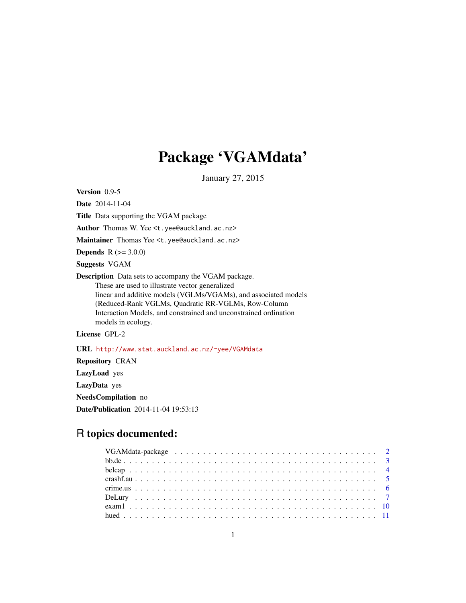# Package 'VGAMdata'

January 27, 2015

<span id="page-0-0"></span>Version 0.9-5

Date 2014-11-04

Title Data supporting the VGAM package

Author Thomas W. Yee <t.yee@auckland.ac.nz>

Maintainer Thomas Yee <t.yee@auckland.ac.nz>

**Depends**  $R (= 3.0.0)$ 

Suggests VGAM

Description Data sets to accompany the VGAM package. These are used to illustrate vector generalized linear and additive models (VGLMs/VGAMs), and associated models (Reduced-Rank VGLMs, Quadratic RR-VGLMs, Row-Column Interaction Models, and constrained and unconstrained ordination models in ecology.

License GPL-2

URL <http://www.stat.auckland.ac.nz/~yee/VGAMdata>

Repository CRAN LazyLoad yes LazyData yes NeedsCompilation no Date/Publication 2014-11-04 19:53:13

# R topics documented: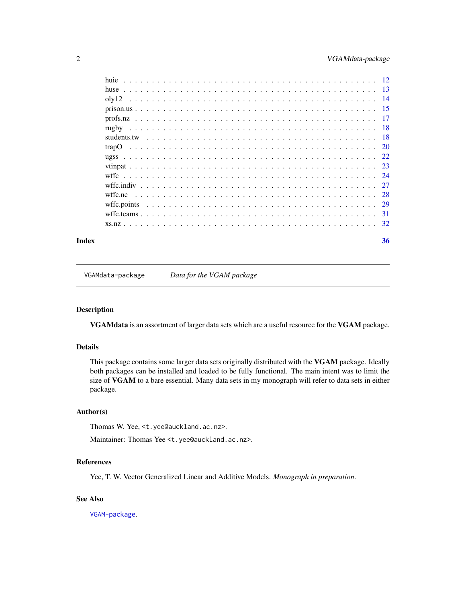<span id="page-1-0"></span>

| Index | 36 |
|-------|----|
|       |    |
|       |    |
|       |    |
|       |    |
|       |    |
|       |    |
|       |    |
|       |    |
|       |    |
|       |    |
|       |    |
|       |    |
|       |    |
|       |    |
|       |    |
|       |    |

VGAMdata-package *Data for the VGAM package*

# Description

VGAMdata is an assortment of larger data sets which are a useful resource for the VGAM package.

# Details

This package contains some larger data sets originally distributed with the VGAM package. Ideally both packages can be installed and loaded to be fully functional. The main intent was to limit the size of VGAM to a bare essential. Many data sets in my monograph will refer to data sets in either package.

#### Author(s)

Thomas W. Yee, <t.yee@auckland.ac.nz>.

Maintainer: Thomas Yee <t.yee@auckland.ac.nz>.

#### References

Yee, T. W. Vector Generalized Linear and Additive Models. *Monograph in preparation*.

# See Also

[VGAM-package](#page-0-0).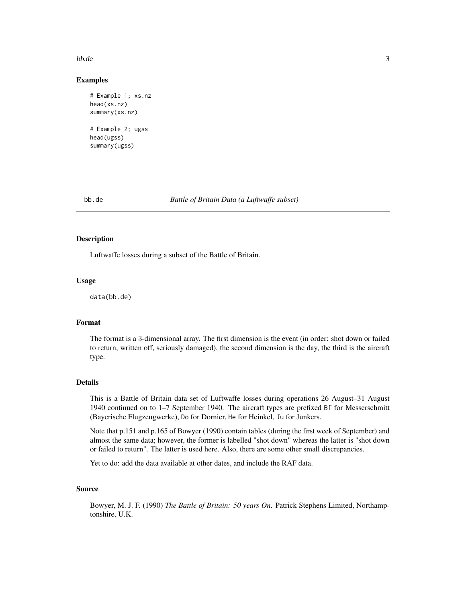#### <span id="page-2-0"></span> $b$ b.de  $3$

### Examples

```
# Example 1; xs.nz
head(xs.nz)
summary(xs.nz)
# Example 2; ugss
head(ugss)
summary(ugss)
```
bb.de *Battle of Britain Data (a Luftwaffe subset)*

# Description

Luftwaffe losses during a subset of the Battle of Britain.

#### Usage

data(bb.de)

# Format

The format is a 3-dimensional array. The first dimension is the event (in order: shot down or failed to return, written off, seriously damaged), the second dimension is the day, the third is the aircraft type.

# Details

This is a Battle of Britain data set of Luftwaffe losses during operations 26 August–31 August 1940 continued on to 1–7 September 1940. The aircraft types are prefixed Bf for Messerschmitt (Bayerische Flugzeugwerke), Do for Dornier, He for Heinkel, Ju for Junkers.

Note that p.151 and p.165 of Bowyer (1990) contain tables (during the first week of September) and almost the same data; however, the former is labelled "shot down" whereas the latter is "shot down or failed to return". The latter is used here. Also, there are some other small discrepancies.

Yet to do: add the data available at other dates, and include the RAF data.

# Source

Bowyer, M. J. F. (1990) *The Battle of Britain: 50 years On*. Patrick Stephens Limited, Northamptonshire, U.K.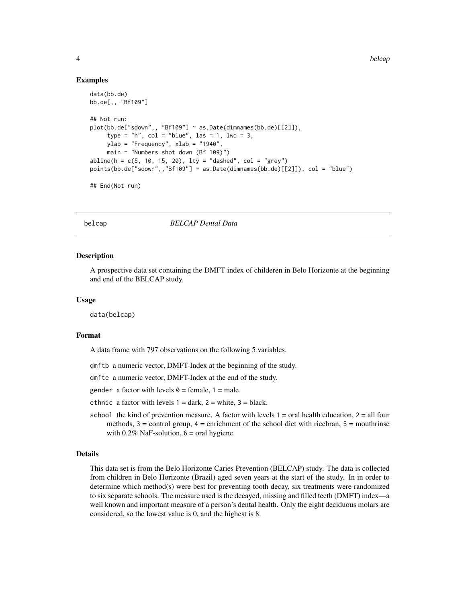#### Examples

```
data(bb.de)
bb.de[,, "Bf109"]
## Not run:
plot(bb.de["sdown",, "Bf109"] ~ as.Date(dimnames(bb.de)[[2]]),
     type = "h", col = "blue", las = 1, lwd = 3,ylab = "Frequency", xlab = "1940",
     main = "Numbers shot down (Bf 109)")
abline(h = c(5, 10, 15, 20), 1ty = "dashed", col = "grey")points(bb.de["sdown",,"Bf109"] ~ as.Date(dimnames(bb.de)[[2]]), col = "blue")
## End(Not run)
```
## belcap *BELCAP Dental Data*

#### Description

A prospective data set containing the DMFT index of childeren in Belo Horizonte at the beginning and end of the BELCAP study.

#### Usage

data(belcap)

#### Format

A data frame with 797 observations on the following 5 variables.

dmftb a numeric vector, DMFT-Index at the beginning of the study.

dmfte a numeric vector, DMFT-Index at the end of the study.

gender a factor with levels  $\theta$  = female, 1 = male.

- ethnic a factor with levels  $1 = \text{dark}$ ,  $2 = \text{white}$ ,  $3 = \text{black}$ .
- school the kind of prevention measure. A factor with levels  $1 = \text{oral health education}, 2 = \text{all four}$ methods,  $3 =$  control group,  $4 =$  enrichment of the school diet with ricebran,  $5 =$  mouthrinse with  $0.2\%$  NaF-solution,  $6 = \text{oral}$  hygiene.

#### Details

This data set is from the Belo Horizonte Caries Prevention (BELCAP) study. The data is collected from children in Belo Horizonte (Brazil) aged seven years at the start of the study. In in order to determine which method(s) were best for preventing tooth decay, six treatments were randomized to six separate schools. The measure used is the decayed, missing and filled teeth (DMFT) index—a well known and important measure of a person's dental health. Only the eight deciduous molars are considered, so the lowest value is 0, and the highest is 8.

<span id="page-3-0"></span>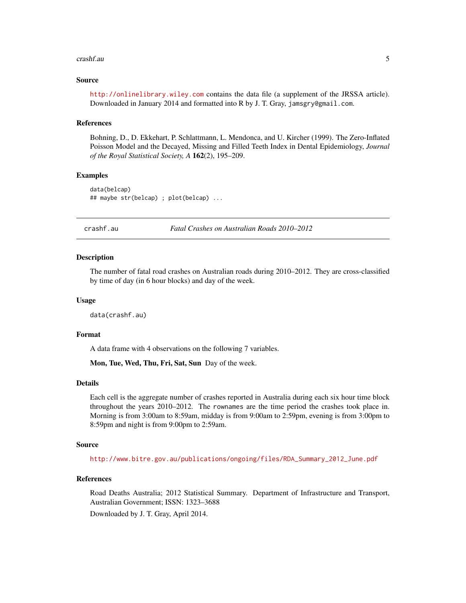#### <span id="page-4-0"></span>crashf.au 5

#### Source

<http://onlinelibrary.wiley.com> contains the data file (a supplement of the JRSSA article). Downloaded in January 2014 and formatted into R by J. T. Gray, jamsgry@gmail.com.

#### References

Bohning, D., D. Ekkehart, P. Schlattmann, L. Mendonca, and U. Kircher (1999). The Zero-Inflated Poisson Model and the Decayed, Missing and Filled Teeth Index in Dental Epidemiology, *Journal of the Royal Statistical Society, A* 162(2), 195–209.

## Examples

```
data(belcap)
## maybe str(belcap) ; plot(belcap) ...
```
crashf.au *Fatal Crashes on Australian Roads 2010–2012*

#### Description

The number of fatal road crashes on Australian roads during 2010–2012. They are cross-classified by time of day (in 6 hour blocks) and day of the week.

#### Usage

data(crashf.au)

#### Format

A data frame with 4 observations on the following 7 variables.

Mon, Tue, Wed, Thu, Fri, Sat, Sun Day of the week.

#### Details

Each cell is the aggregate number of crashes reported in Australia during each six hour time block throughout the years 2010–2012. The rownames are the time period the crashes took place in. Morning is from 3:00am to 8:59am, midday is from 9:00am to 2:59pm, evening is from 3:00pm to 8:59pm and night is from 9:00pm to 2:59am.

#### Source

[http://www.bitre.gov.au/publications/ongoing/files/RDA\\_Summary\\_2012\\_June.pdf](http://www.bitre.gov.au/publications/ongoing/files/RDA_Summary_2012_June.pdf)

#### References

Road Deaths Australia; 2012 Statistical Summary. Department of Infrastructure and Transport, Australian Government; ISSN: 1323–3688

Downloaded by J. T. Gray, April 2014.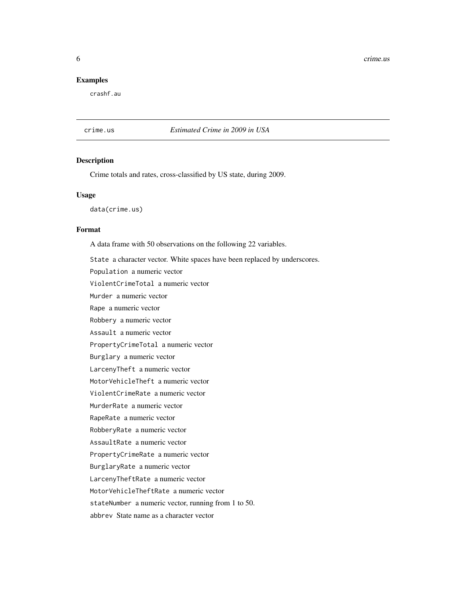<span id="page-5-0"></span>6 crime.us

# Examples

crashf.au

crime.us *Estimated Crime in 2009 in USA*

#### Description

Crime totals and rates, cross-classified by US state, during 2009.

#### Usage

data(crime.us)

# Format

A data frame with 50 observations on the following 22 variables.

State a character vector. White spaces have been replaced by underscores.

Population a numeric vector

ViolentCrimeTotal a numeric vector

Murder a numeric vector

Rape a numeric vector

Robbery a numeric vector

Assault a numeric vector

PropertyCrimeTotal a numeric vector

Burglary a numeric vector

LarcenyTheft a numeric vector

MotorVehicleTheft a numeric vector

ViolentCrimeRate a numeric vector

MurderRate a numeric vector

RapeRate a numeric vector

RobberyRate a numeric vector

AssaultRate a numeric vector

PropertyCrimeRate a numeric vector

BurglaryRate a numeric vector

LarcenyTheftRate a numeric vector

MotorVehicleTheftRate a numeric vector

stateNumber a numeric vector, running from 1 to 50.

abbrev State name as a character vector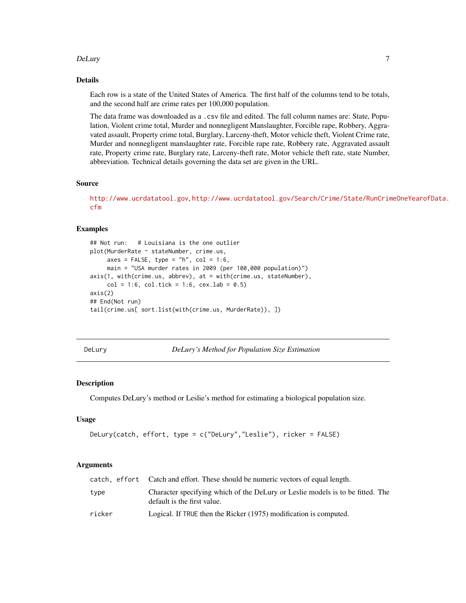#### <span id="page-6-0"></span>DeLury 7

# Details

Each row is a state of the United States of America. The first half of the columns tend to be totals, and the second half are crime rates per 100,000 population.

The data frame was downloaded as a .csv file and edited. The full column names are: State, Population, Violent crime total, Murder and nonnegligent Manslaughter, Forcible rape, Robbery, Aggravated assault, Property crime total, Burglary, Larceny-theft, Motor vehicle theft, Violent Crime rate, Murder and nonnegligent manslaughter rate, Forcible rape rate, Robbery rate, Aggravated assault rate, Property crime rate, Burglary rate, Larceny-theft rate, Motor vehicle theft rate, state Number, abbreviation. Technical details governing the data set are given in the URL.

# Source

<http://www.ucrdatatool.gov>, [http://www.ucrdatatool.gov/Search/Crime/State/RunCrim](http://www.ucrdatatool.gov/Search/Crime/State/RunCrimeOneYearofData.cfm)eOneYearofData. [cfm](http://www.ucrdatatool.gov/Search/Crime/State/RunCrimeOneYearofData.cfm)

#### Examples

```
## Not run: # Louisiana is the one outlier
plot(MurderRate ~ stateNumber, crime.us,
     axes = FALSE, type = nh'', col = 1:6,
     main = "USA murder rates in 2009 (per 100,000 population)")
axis(1, with(crime.us, abbrev), at = with(crime.us, stateNumber),
     col = 1:6, col.title = 1:6, cexr. lab = 0.5)
axis(2)
## End(Not run)
tail(crime.us[ sort.list(with(crime.us, MurderRate)), ])
```
<span id="page-6-1"></span>DeLury *DeLury's Method for Population Size Estimation*

# Description

Computes DeLury's method or Leslie's method for estimating a biological population size.

#### Usage

```
DeLury(catch, effort, type = c("DeLury","Leslie"), ricker = FALSE)
```
# Arguments

|        | catch, effort Catch and effort. These should be numeric vectors of equal length.                              |
|--------|---------------------------------------------------------------------------------------------------------------|
| type   | Character specifying which of the DeLury or Leslie models is to be fitted. The<br>default is the first value. |
| ricker | Logical. If TRUE then the Ricker (1975) modification is computed.                                             |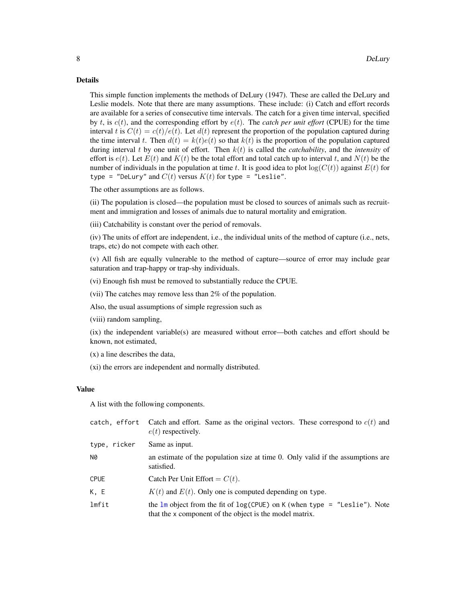#### Details

This simple function implements the methods of DeLury (1947). These are called the DeLury and Leslie models. Note that there are many assumptions. These include: (i) Catch and effort records are available for a series of consecutive time intervals. The catch for a given time interval, specified by t, is  $c(t)$ , and the corresponding effort by  $e(t)$ . The *catch per unit effort* (CPUE) for the time interval t is  $C(t) = c(t)/e(t)$ . Let  $d(t)$  represent the proportion of the population captured during the time interval t. Then  $d(t) = k(t)e(t)$  so that  $k(t)$  is the proportion of the population captured during interval  $t$  by one unit of effort. Then  $k(t)$  is called the *catchability*, and the *intensity* of effort is  $e(t)$ . Let  $E(t)$  and  $K(t)$  be the total effort and total catch up to interval t, and  $N(t)$  be the number of individuals in the population at time t. It is good idea to plot  $log(C(t))$  against  $E(t)$  for type = "DeLury" and  $C(t)$  versus  $K(t)$  for type = "Leslie".

The other assumptions are as follows.

(ii) The population is closed—the population must be closed to sources of animals such as recruitment and immigration and losses of animals due to natural mortality and emigration.

(iii) Catchability is constant over the period of removals.

(iv) The units of effort are independent, i.e., the individual units of the method of capture (i.e., nets, traps, etc) do not compete with each other.

(v) All fish are equally vulnerable to the method of capture—source of error may include gear saturation and trap-happy or trap-shy individuals.

(vi) Enough fish must be removed to substantially reduce the CPUE.

(vii) The catches may remove less than 2% of the population.

Also, the usual assumptions of simple regression such as

(viii) random sampling,

(ix) the independent variable(s) are measured without error—both catches and effort should be known, not estimated,

(x) a line describes the data,

(xi) the errors are independent and normally distributed.

# Value

A list with the following components.

|              | catch, effort Catch and effort. Same as the original vectors. These correspond to $c(t)$ and<br>$e(t)$ respectively.                     |
|--------------|------------------------------------------------------------------------------------------------------------------------------------------|
| type, ricker | Same as input.                                                                                                                           |
| <b>N0</b>    | an estimate of the population size at time 0. Only valid if the assumptions are<br>satisfied.                                            |
| <b>CPUE</b>  | Catch Per Unit Effort = $C(t)$ .                                                                                                         |
| K, E         | $K(t)$ and $E(t)$ . Only one is computed depending on type.                                                                              |
| lmfit        | the $lm$ object from the fit of $log(CPUE)$ on K (when type = "Leslie"). Note<br>that the x component of the object is the model matrix. |

<span id="page-7-0"></span>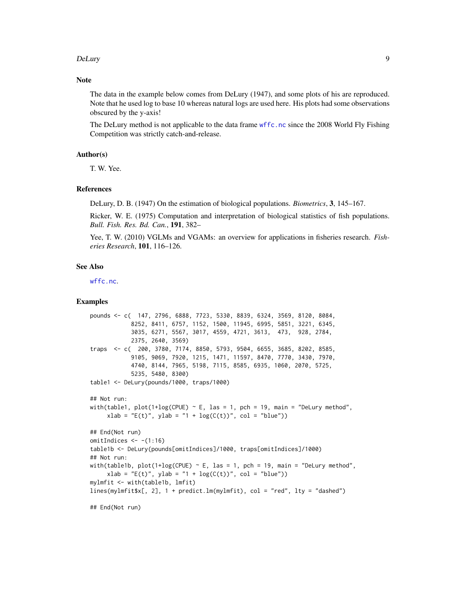#### <span id="page-8-0"></span>DeLury 9

#### **Note**

The data in the example below comes from DeLury (1947), and some plots of his are reproduced. Note that he used log to base 10 whereas natural logs are used here. His plots had some observations obscured by the y-axis!

The DeLury method is not applicable to the data frame [wffc.nc](#page-27-1) since the 2008 World Fly Fishing Competition was strictly catch-and-release.

# Author(s)

T. W. Yee.

#### References

DeLury, D. B. (1947) On the estimation of biological populations. *Biometrics*, 3, 145–167.

Ricker, W. E. (1975) Computation and interpretation of biological statistics of fish populations. *Bull. Fish. Res. Bd. Can.*, 191, 382–

Yee, T. W. (2010) VGLMs and VGAMs: an overview for applications in fisheries research. *Fisheries Research*, 101, 116–126.

#### See Also

[wffc.nc](#page-27-1).

#### Examples

```
pounds <- c( 147, 2796, 6888, 7723, 5330, 8839, 6324, 3569, 8120, 8084,
            8252, 8411, 6757, 1152, 1500, 11945, 6995, 5851, 3221, 6345,
            3035, 6271, 5567, 3017, 4559, 4721, 3613, 473, 928, 2784,
            2375, 2640, 3569)
traps <- c( 200, 3780, 7174, 8850, 5793, 9504, 6655, 3685, 8202, 8585,
            9105, 9069, 7920, 1215, 1471, 11597, 8470, 7770, 3430, 7970,
            4740, 8144, 7965, 5198, 7115, 8585, 6935, 1060, 2070, 5725,
            5235, 5480, 8300)
table1 <- DeLury(pounds/1000, traps/1000)
## Not run:
with(table1, plot(1+log(CPUE) \sim E, las = 1, pch = 19, main = "DeLury method",
     xlab = "E(t)", ylab = "1 + log(C(t))", col = "blue")## End(Not run)
omitIndices <--(1:16)table1b <- DeLury(pounds[omitIndices]/1000, traps[omitIndices]/1000)
## Not run:
with(table1b, plot(1+log(CPUE) \sim E, las = 1, pch = 19, main = "DeLury method",
     xlab = "E(t)", ylab = "1 + log(C(t))", col = "blue")mylmfit <- with(table1b, lmfit)
lines(mylmfit$x[, 2], 1 + predict.lm(mylmfit), col = "red", lty = "dashed")
```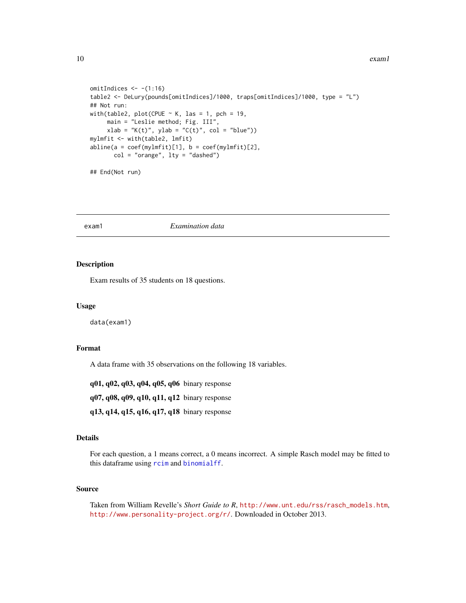```
omitIndices \leq - (1:16)table2 <- DeLury(pounds[omitIndices]/1000, traps[omitIndices]/1000, type = "L")
## Not run:
with(table2, plot(CPUE \sim K, las = 1, pch = 19,
    main = "Leslie method; Fig. III",
     xlab = "K(t)", ylab = "C(t)", col = "blue"))mylmfit <- with(table2, lmfit)
abline(a = coef(mylmfit)[1], b = coef(mylmfit)[2],col = "orange", lty = "dashed")
```
## End(Not run)

# exam1 *Examination data*

# Description

Exam results of 35 students on 18 questions.

### Usage

data(exam1)

# Format

A data frame with 35 observations on the following 18 variables.

q01, q02, q03, q04, q05, q06 binary response

q07, q08, q09, q10, q11, q12 binary response

q13, q14, q15, q16, q17, q18 binary response

#### Details

For each question, a 1 means correct, a 0 means incorrect. A simple Rasch model may be fitted to this dataframe using [rcim](#page-0-0) and [binomialff](#page-0-0).

# Source

Taken from William Revelle's *Short Guide to R*, [http://www.unt.edu/rss/rasch\\_models.htm](http://www.unt.edu/rss/rasch_models.htm), <http://www.personality-project.org/r/>. Downloaded in October 2013.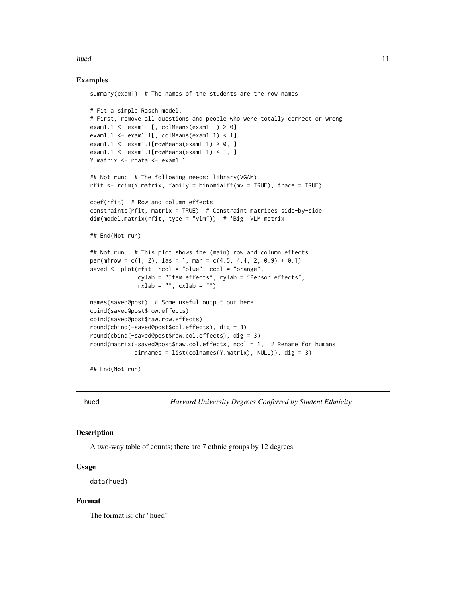#### <span id="page-10-0"></span>hued the contract of the contract of the contract of the contract of the contract of the contract of the contract of the contract of the contract of the contract of the contract of the contract of the contract of the contr

#### Examples

```
summary(exam1) # The names of the students are the row names
# Fit a simple Rasch model.
# First, remove all questions and people who were totally correct or wrong
exam1.1 \leq exam1 [, colMeans(exam1 ) > 0]
exam1.1 <- exam1.1[, colMeans(exam1.1) < 1]
exam1.1 <- exam1.1[rowMeans(exam1.1) > 0,]
exam1.1 <- exam1.1[rowMeans(exam1.1) < 1, ]
Y.matrix <- rdata <- exam1.1
## Not run: # The following needs: library(VGAM)
rfit <- rcim(Y.matrix, family = binomialff(mv = TRUE), trace = TRUE)
coef(rfit) # Row and column effects
constraints(rfit, matrix = TRUE) # Constraint matrices side-by-side
dim(model.matrix(rfit, type = "vlm")) # 'Big' VLM matrix
## End(Not run)
## Not run: # This plot shows the (main) row and column effects
par(mfrow = c(1, 2), las = 1, mar = c(4.5, 4.4, 2, 0.9) + 0.1)saved <- plot(rfit, rcol = "blue", ccol = "orange",
              cylab = "Item effects", rylab = "Person effects",
             r x lab = "", cx lab = "")names(saved@post) # Some useful output put here
cbind(saved@post$row.effects)
cbind(saved@post$raw.row.effects)
round(cbind(-saved@post$col.effects), dig = 3)
round(cbind(-saved@post$raw.col.effects), dig = 3)
round(matrix(-saved@post$raw.col.effects, ncol = 1, # Rename for humans
            dimnames = list(colnames(Y.matrix), NULL)), dig = 3)
```
## End(Not run)

<span id="page-10-1"></span>

hued *Harvard University Degrees Conferred by Student Ethnicity*

#### Description

A two-way table of counts; there are 7 ethnic groups by 12 degrees.

### Usage

data(hued)

#### Format

The format is: chr "hued"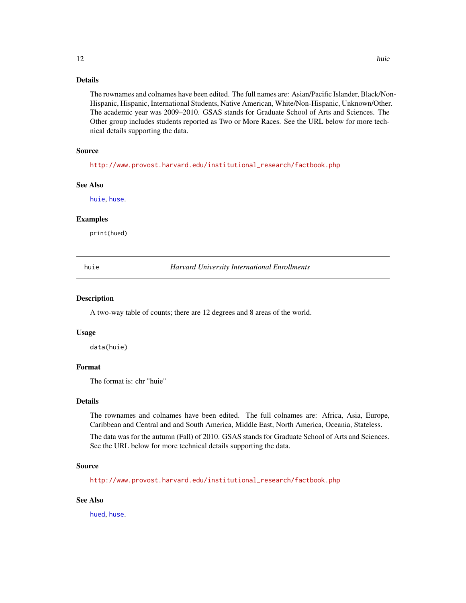# <span id="page-11-0"></span>Details

The rownames and colnames have been edited. The full names are: Asian/Pacific Islander, Black/Non-Hispanic, Hispanic, International Students, Native American, White/Non-Hispanic, Unknown/Other. The academic year was 2009–2010. GSAS stands for Graduate School of Arts and Sciences. The Other group includes students reported as Two or More Races. See the URL below for more technical details supporting the data.

#### Source

[http://www.provost.harvard.edu/institutional\\_research/factbook.php](http://www.provost.harvard.edu/institutional_research/factbook.php)

#### See Also

[huie](#page-11-1), [huse](#page-12-1).

#### Examples

print(hued)

<span id="page-11-1"></span>huie *Harvard University International Enrollments*

#### Description

A two-way table of counts; there are 12 degrees and 8 areas of the world.

#### Usage

data(huie)

# Format

The format is: chr "huie"

### Details

The rownames and colnames have been edited. The full colnames are: Africa, Asia, Europe, Caribbean and Central and and South America, Middle East, North America, Oceania, Stateless.

The data was for the autumn (Fall) of 2010. GSAS stands for Graduate School of Arts and Sciences. See the URL below for more technical details supporting the data.

#### Source

[http://www.provost.harvard.edu/institutional\\_research/factbook.php](http://www.provost.harvard.edu/institutional_research/factbook.php)

#### See Also

[hued](#page-10-1), [huse](#page-12-1).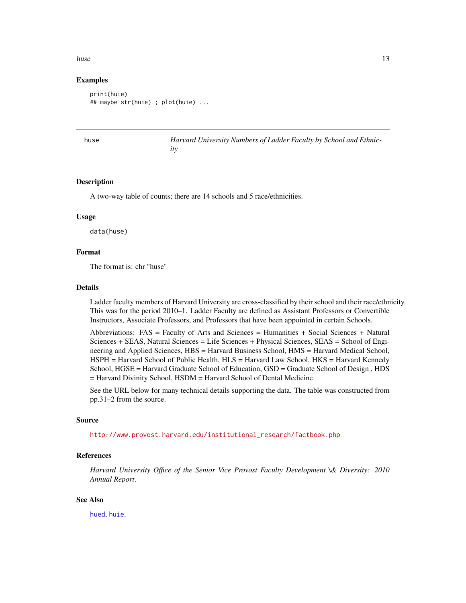#### <span id="page-12-0"></span>huse the contract of the contract of the contract of the contract of the contract of the contract of the contract of the contract of the contract of the contract of the contract of the contract of the contract of the contr

# Examples

```
print(huie)
## maybe str(huie) ; plot(huie) ...
```
<span id="page-12-1"></span>

e *Harvard University Numbers of Ladder Faculty by School and Ethnicity*

#### Description

A two-way table of counts; there are 14 schools and 5 race/ethnicities.

#### Usage

data(huse)

# Format

The format is: chr "huse"

#### Details

Ladder faculty members of Harvard University are cross-classified by their school and their race/ethnicity. This was for the period 2010–1. Ladder Faculty are defined as Assistant Professors or Convertible Instructors, Associate Professors, and Professors that have been appointed in certain Schools.

Abbreviations: FAS = Faculty of Arts and Sciences = Humanities + Social Sciences + Natural Sciences + SEAS, Natural Sciences = Life Sciences + Physical Sciences, SEAS = School of Engineering and Applied Sciences, HBS = Harvard Business School, HMS = Harvard Medical School, HSPH = Harvard School of Public Health, HLS = Harvard Law School, HKS = Harvard Kennedy School, HGSE = Harvard Graduate School of Education, GSD = Graduate School of Design , HDS = Harvard Divinity School, HSDM = Harvard School of Dental Medicine.

See the URL below for many technical details supporting the data. The table was constructed from pp.31–2 from the source.

### Source

[http://www.provost.harvard.edu/institutional\\_research/factbook.php](http://www.provost.harvard.edu/institutional_research/factbook.php)

#### References

*Harvard University Office of the Senior Vice Provost Faculty Development \& Diversity: 2010 Annual Report*.

#### See Also

[hued](#page-10-1), [huie](#page-11-1).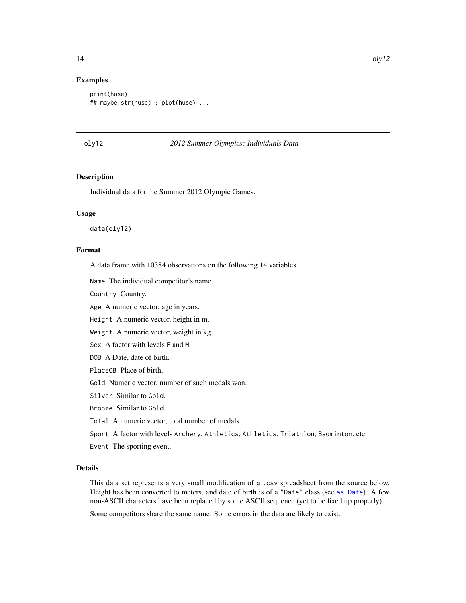#### Examples

```
print(huse)
## maybe str(huse) ; plot(huse) ...
```
#### oly12 *2012 Summer Olympics: Individuals Data*

# Description

Individual data for the Summer 2012 Olympic Games.

#### Usage

data(oly12)

# Format

A data frame with 10384 observations on the following 14 variables.

Name The individual competitor's name.

Country Country.

Age A numeric vector, age in years.

Height A numeric vector, height in m.

Weight A numeric vector, weight in kg.

Sex A factor with levels F and M.

DOB A Date, date of birth.

PlaceOB Place of birth.

Gold Numeric vector, number of such medals won.

Silver Similar to Gold.

Bronze Similar to Gold.

Total A numeric vector, total number of medals.

Sport A factor with levels Archery, Athletics, Athletics, Triathlon, Badminton, etc.

Event The sporting event.

## Details

This data set represents a very small modification of a .csv spreadsheet from the source below. Height has been converted to meters, and date of birth is of a "Date" class (see [as.Date](#page-0-0)). A few non-ASCII characters have been replaced by some ASCII sequence (yet to be fixed up properly).

Some competitors share the same name. Some errors in the data are likely to exist.

<span id="page-13-0"></span>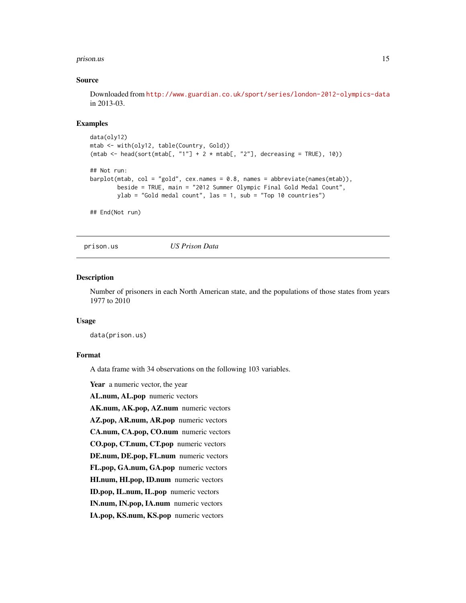#### <span id="page-14-0"></span>prison.us and the contract of the contract of the contract of the contract of the contract of the contract of the contract of the contract of the contract of the contract of the contract of the contract of the contract of

#### Source

Downloaded from <http://www.guardian.co.uk/sport/series/london-2012-olympics-data> in 2013-03.

#### Examples

```
data(oly12)
mtab <- with(oly12, table(Country, Gold))
(\text{mtab} < - \text{head}(\text{sort}(\text{mtab}[, "1"] + 2 * \text{mtab}[, "2"], decreasing = TRUE), 10))## Not run:
barplot(mtab, col = "gold", cex.names = 0.8, names = abbreviate(names(mtab)),
        beside = TRUE, main = "2012 Summer Olympic Final Gold Medal Count",
        ylab = "Gold medal count", las = 1, sub = "Top 10 countries")
## End(Not run)
```
prison.us *US Prison Data*

#### **Description**

Number of prisoners in each North American state, and the populations of those states from years 1977 to 2010

#### Usage

data(prison.us)

#### Format

A data frame with 34 observations on the following 103 variables.

Year a numeric vector, the year

AL.num, AL.pop numeric vectors

AK.num, AK.pop, AZ.num numeric vectors

AZ.pop, AR.num, AR.pop numeric vectors

CA.num, CA.pop, CO.num numeric vectors

CO.pop, CT.num, CT.pop numeric vectors

DE.num, DE.pop, FL.num numeric vectors

FL.pop, GA.num, GA.pop numeric vectors

HI.num, HI.pop, ID.num numeric vectors

ID.pop, IL.num, IL.pop numeric vectors

IN.num, IN.pop, IA.num numeric vectors

IA.pop, KS.num, KS.pop numeric vectors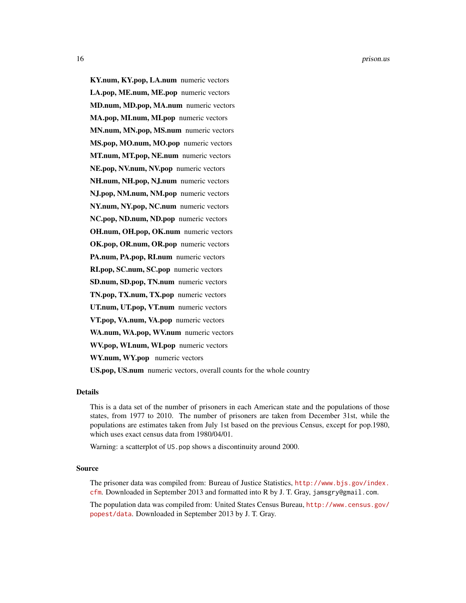16 prison.us and the prison.us of the prison.us of the prison.us of the prison.us of the prison.us of the prison.us of the prison.us of the prison.us of the prison.us of the prison.us of the prison.us of the prison.us of t

KY.num, KY.pop, LA.num numeric vectors LA.pop, ME.num, ME.pop numeric vectors MD.num, MD.pop, MA.num numeric vectors MA.pop, MI.num, MI.pop numeric vectors MN.num, MN.pop, MS.num numeric vectors MS.pop, MO.num, MO.pop numeric vectors MT.num, MT.pop, NE.num numeric vectors NE.pop, NV.num, NV.pop numeric vectors NH.num, NH.pop, NJ.num numeric vectors NJ.pop, NM.num, NM.pop numeric vectors NY.num, NY.pop, NC.num numeric vectors NC.pop, ND.num, ND.pop numeric vectors OH.num, OH.pop, OK.num numeric vectors OK.pop, OR.num, OR.pop numeric vectors PA.num, PA.pop, RI.num numeric vectors RI.pop, SC.num, SC.pop numeric vectors SD.num, SD.pop, TN.num numeric vectors TN.pop, TX.num, TX.pop numeric vectors UT.num, UT.pop, VT.num numeric vectors VT.pop, VA.num, VA.pop numeric vectors WA.num, WA.pop, WV.num numeric vectors WV.pop, WI.num, WI.pop numeric vectors WY.num, WY.pop numeric vectors US.pop, US.num numeric vectors, overall counts for the whole country

#### Details

This is a data set of the number of prisoners in each American state and the populations of those states, from 1977 to 2010. The number of prisoners are taken from December 31st, while the populations are estimates taken from July 1st based on the previous Census, except for pop.1980, which uses exact census data from 1980/04/01.

Warning: a scatterplot of US.pop shows a discontinuity around 2000.

#### Source

The prisoner data was compiled from: Bureau of Justice Statistics, [http://www.bjs.gov/index.](http://www.bjs.gov/index.cfm) [cfm](http://www.bjs.gov/index.cfm). Downloaded in September 2013 and formatted into R by J. T. Gray, jamsgry@gmail.com.

The population data was compiled from: United States Census Bureau, [http://www.census.gov/](http://www.census.gov/popest/data) [popest/data](http://www.census.gov/popest/data). Downloaded in September 2013 by J. T. Gray.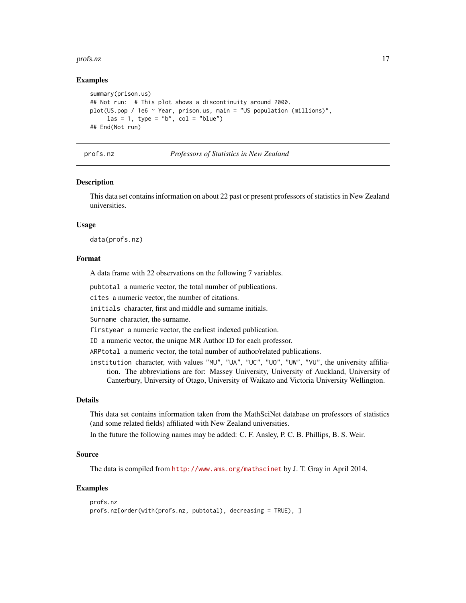#### <span id="page-16-0"></span>profs.nz and the contract of the contract of the contract of the contract of the contract of the contract of the contract of the contract of the contract of the contract of the contract of the contract of the contract of t

### Examples

```
summary(prison.us)
## Not run: # This plot shows a discontinuity around 2000.
plot(US.pop / 1e6 ~ Year, prison.us, main = "US population (millions)",
     las = 1, type = "b", col = "blue")## End(Not run)
```
#### profs.nz *Professors of Statistics in New Zealand*

#### Description

This data set contains information on about 22 past or present professors of statistics in New Zealand universities.

#### Usage

data(profs.nz)

#### Format

A data frame with 22 observations on the following 7 variables.

pubtotal a numeric vector, the total number of publications.

cites a numeric vector, the number of citations.

initials character, first and middle and surname initials.

Surname character, the surname.

firstyear a numeric vector, the earliest indexed publication.

ID a numeric vector, the unique MR Author ID for each professor.

ARPtotal a numeric vector, the total number of author/related publications.

institution character, with values "MU", "UA", "UC", "UO", "UW", "VU", the university affiliation. The abbreviations are for: Massey University, University of Auckland, University of Canterbury, University of Otago, University of Waikato and Victoria University Wellington.

#### Details

This data set contains information taken from the MathSciNet database on professors of statistics (and some related fields) affiliated with New Zealand universities.

In the future the following names may be added: C. F. Ansley, P. C. B. Phillips, B. S. Weir.

#### Source

The data is compiled from <http://www.ams.org/mathscinet> by J. T. Gray in April 2014.

# Examples

```
profs.nz
profs.nz[order(with(profs.nz, pubtotal), decreasing = TRUE), ]
```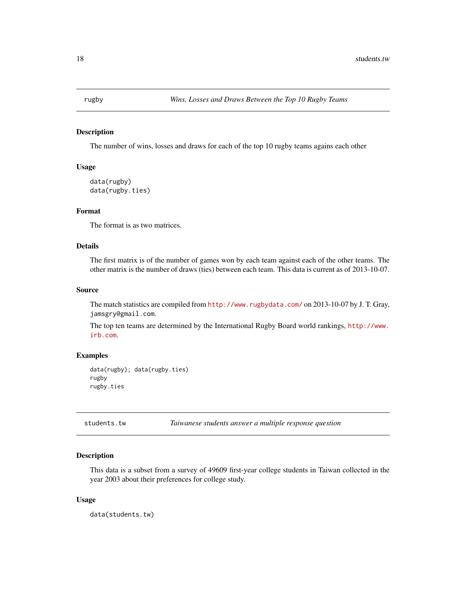<span id="page-17-0"></span>

#### Description

The number of wins, losses and draws for each of the top 10 rugby teams agains each other

# Usage

```
data(rugby)
data(rugby.ties)
```
#### Format

The format is as two matrices.

# Details

The first matrix is of the number of games won by each team against each of the other teams. The other matrix is the number of draws (ties) between each team. This data is current as of 2013-10-07.

# Source

The match statistics are compiled from <http://www.rugbydata.com/> on 2013-10-07 by J. T. Gray, jamsgry@gmail.com.

The top ten teams are determined by the International Rugby Board world rankings, [http://www.](http://www.irb.com) [irb.com](http://www.irb.com).

# Examples

data(rugby); data(rugby.ties) rugby rugby.ties

students.tw *Taiwanese students answer a multiple response question*

# Description

This data is a subset from a survey of 49609 first-year college students in Taiwan collected in the year 2003 about their preferences for college study.

#### Usage

data(students.tw)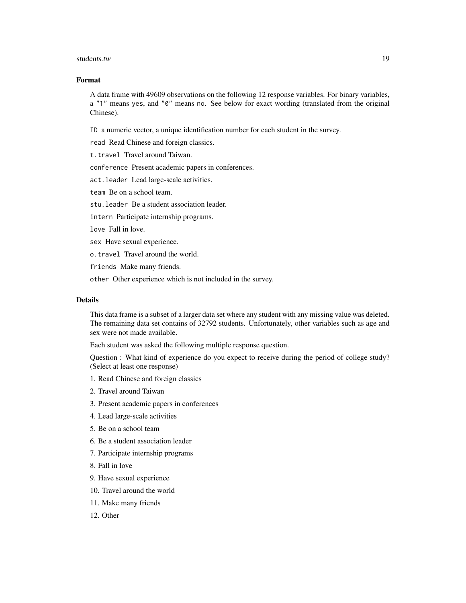#### students.tw to the contract of the contract of the contract of the contract of the contract of the contract of the contract of the contract of the contract of the contract of the contract of the contract of the contract of

# Format

A data frame with 49609 observations on the following 12 response variables. For binary variables, a "1" means yes, and "0" means no. See below for exact wording (translated from the original Chinese).

ID a numeric vector, a unique identification number for each student in the survey.

read Read Chinese and foreign classics.

t.travel Travel around Taiwan.

conference Present academic papers in conferences.

act.leader Lead large-scale activities.

team Be on a school team.

stu.leader Be a student association leader.

intern Participate internship programs.

love Fall in love.

sex Have sexual experience.

o.travel Travel around the world.

friends Make many friends.

other Other experience which is not included in the survey.

#### Details

This data frame is a subset of a larger data set where any student with any missing value was deleted. The remaining data set contains of 32792 students. Unfortunately, other variables such as age and sex were not made available.

Each student was asked the following multiple response question.

Question : What kind of experience do you expect to receive during the period of college study? (Select at least one response)

- 1. Read Chinese and foreign classics
- 2. Travel around Taiwan
- 3. Present academic papers in conferences
- 4. Lead large-scale activities
- 5. Be on a school team
- 6. Be a student association leader
- 7. Participate internship programs
- 8. Fall in love
- 9. Have sexual experience
- 10. Travel around the world
- 11. Make many friends
- 12. Other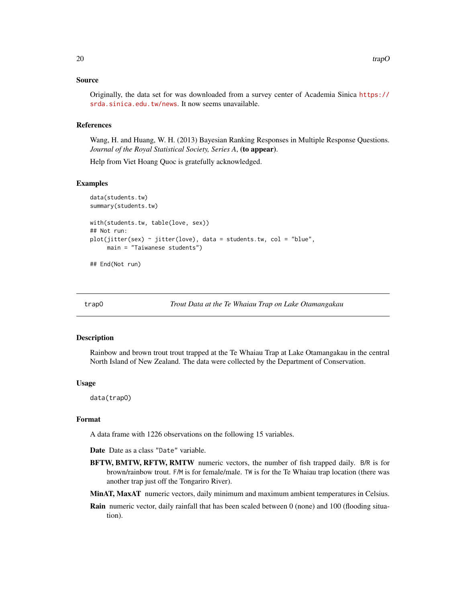### <span id="page-19-0"></span>Source

Originally, the data set for was downloaded from a survey center of Academia Sinica [https://](https://srda.sinica.edu.tw/news) [srda.sinica.edu.tw/news](https://srda.sinica.edu.tw/news). It now seems unavailable.

# References

Wang, H. and Huang, W. H. (2013) Bayesian Ranking Responses in Multiple Response Questions. *Journal of the Royal Statistical Society, Series A*, (to appear).

Help from Viet Hoang Quoc is gratefully acknowledged.

#### Examples

```
data(students.tw)
summary(students.tw)
with(students.tw, table(love, sex))
## Not run:
plot(jitter(sex) ~itter(love), data = students.tw, col = "blue",
     main = "Taiwanese students")
```
## End(Not run)

trapO *Trout Data at the Te Whaiau Trap on Lake Otamangakau*

#### Description

Rainbow and brown trout trout trapped at the Te Whaiau Trap at Lake Otamangakau in the central North Island of New Zealand. The data were collected by the Department of Conservation.

#### Usage

data(trapO)

#### Format

A data frame with 1226 observations on the following 15 variables.

Date Date as a class "Date" variable.

- BFTW, BMTW, RFTW, RMTW numeric vectors, the number of fish trapped daily. B/R is for brown/rainbow trout. F/M is for female/male. TW is for the Te Whaiau trap location (there was another trap just off the Tongariro River).
- MinAT, MaxAT numeric vectors, daily minimum and maximum ambient temperatures in Celsius.
- Rain numeric vector, daily rainfall that has been scaled between 0 (none) and 100 (flooding situation).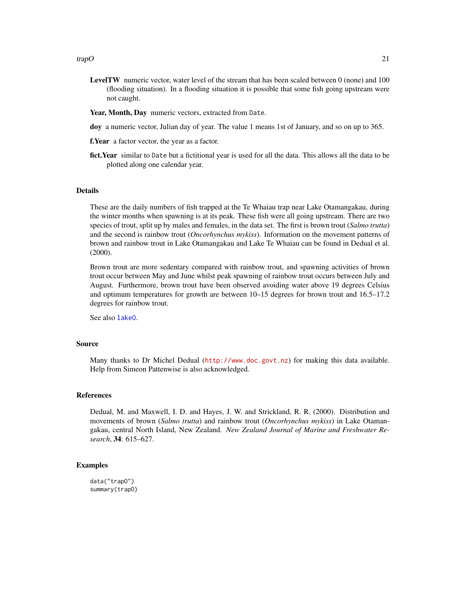- <span id="page-20-0"></span>LevelTW numeric vector, water level of the stream that has been scaled between 0 (none) and 100 (flooding situation). In a flooding situation it is possible that some fish going upstream were not caught.
- Year, Month, Day numeric vectors, extracted from Date.
- doy a numeric vector, Julian day of year. The value 1 means 1st of January, and so on up to 365.

f.Year a factor vector, the year as a factor.

fict. Year similar to Date but a fictitional year is used for all the data. This allows all the data to be plotted along one calendar year.

#### Details

These are the daily numbers of fish trapped at the Te Whaiau trap near Lake Otamangakau, during the winter months when spawning is at its peak. These fish were all going upstream. There are two species of trout, split up by males and females, in the data set. The first is brown trout (*Salmo trutta*) and the second is rainbow trout (*Oncorhynchus mykiss*). Information on the movement patterns of brown and rainbow trout in Lake Otamangakau and Lake Te Whaiau can be found in Dedual et al. (2000).

Brown trout are more sedentary compared with rainbow trout, and spawning activities of brown trout occur between May and June whilst peak spawning of rainbow trout occurs between July and August. Furthermore, brown trout have been observed avoiding water above 19 degrees Celsius and optimum temperatures for growth are between 10–15 degrees for brown trout and 16.5–17.2 degrees for rainbow trout.

See also [lakeO](#page-0-0).

### Source

Many thanks to Dr Michel Dedual (<http://www.doc.govt.nz>) for making this data available. Help from Simeon Pattenwise is also acknowledged.

#### References

Dedual, M. and Maxwell, I. D. and Hayes, J. W. and Strickland, R. R. (2000). Distribution and movements of brown (*Salmo trutta*) and rainbow trout (*Oncorhynchus mykiss*) in Lake Otamangakau, central North Island, New Zealand. *New Zealand Journal of Marine and Freshwater Research*, 34: 615–627.

#### Examples

data("trapO") summary(trapO)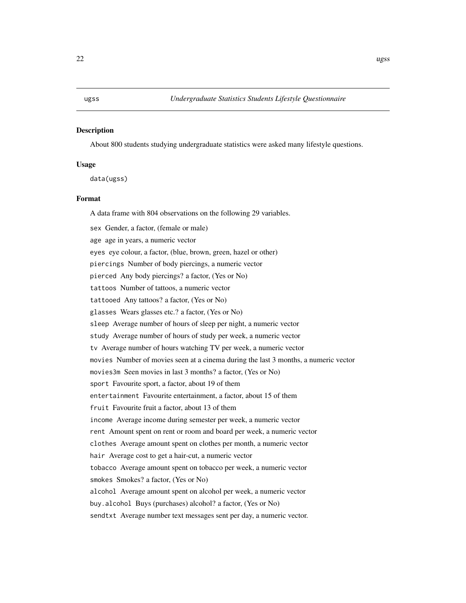# <span id="page-21-0"></span>Description

About 800 students studying undergraduate statistics were asked many lifestyle questions.

#### Usage

data(ugss)

## Format

A data frame with 804 observations on the following 29 variables.

sex Gender, a factor, (female or male) age age in years, a numeric vector eyes eye colour, a factor, (blue, brown, green, hazel or other) piercings Number of body piercings, a numeric vector pierced Any body piercings? a factor, (Yes or No) tattoos Number of tattoos, a numeric vector tattooed Any tattoos? a factor, (Yes or No) glasses Wears glasses etc.? a factor, (Yes or No) sleep Average number of hours of sleep per night, a numeric vector study Average number of hours of study per week, a numeric vector tv Average number of hours watching TV per week, a numeric vector movies Number of movies seen at a cinema during the last 3 months, a numeric vector movies3m Seen movies in last 3 months? a factor, (Yes or No) sport Favourite sport, a factor, about 19 of them entertainment Favourite entertainment, a factor, about 15 of them fruit Favourite fruit a factor, about 13 of them income Average income during semester per week, a numeric vector rent Amount spent on rent or room and board per week, a numeric vector clothes Average amount spent on clothes per month, a numeric vector hair Average cost to get a hair-cut, a numeric vector tobacco Average amount spent on tobacco per week, a numeric vector smokes Smokes? a factor, (Yes or No) alcohol Average amount spent on alcohol per week, a numeric vector buy.alcohol Buys (purchases) alcohol? a factor, (Yes or No) sendtxt Average number text messages sent per day, a numeric vector.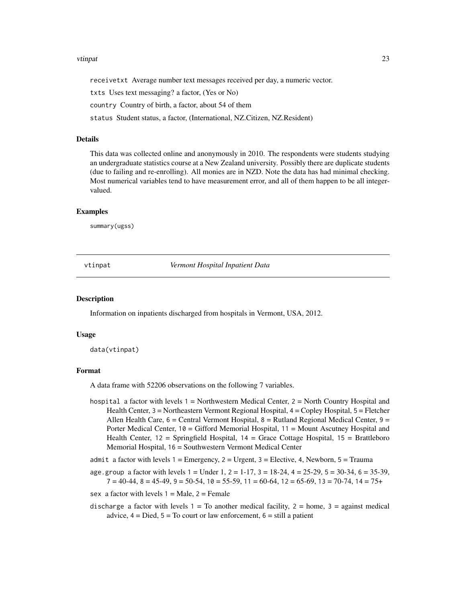#### <span id="page-22-0"></span>vtinpat 23

receivetxt Average number text messages received per day, a numeric vector.

txts Uses text messaging? a factor, (Yes or No)

country Country of birth, a factor, about 54 of them

status Student status, a factor, (International, NZ.Citizen, NZ.Resident)

#### Details

This data was collected online and anonymously in 2010. The respondents were students studying an undergraduate statistics course at a New Zealand university. Possibly there are duplicate students (due to failing and re-enrolling). All monies are in NZD. Note the data has had minimal checking. Most numerical variables tend to have measurement error, and all of them happen to be all integervalued.

### Examples

summary(ugss)

vtinpat *Vermont Hospital Inpatient Data*

#### Description

Information on inpatients discharged from hospitals in Vermont, USA, 2012.

#### Usage

data(vtinpat)

#### Format

A data frame with 52206 observations on the following 7 variables.

hospital a factor with levels 1 = Northwestern Medical Center, 2 = North Country Hospital and Health Center, 3 = Northeastern Vermont Regional Hospital, 4 = Copley Hospital, 5 = Fletcher Allen Health Care,  $6 =$ Central Vermont Hospital,  $8 =$ Rutland Regional Medical Center,  $9 =$ Porter Medical Center, 10 = Gifford Memorial Hospital, 11 = Mount Ascutney Hospital and Health Center, 12 = Springfield Hospital, 14 = Grace Cottage Hospital, 15 = Brattleboro Memorial Hospital, 16 = Southwestern Vermont Medical Center

admit a factor with levels  $1 =$  Emergency,  $2 =$  Urgent,  $3 =$  Elective, 4, Newborn,  $5 =$  Trauma

- age.group a factor with levels  $1 =$  Under  $1, 2 = 1-17, 3 = 18-24, 4 = 25-29, 5 = 30-34, 6 = 35-39,$  $7 = 40-44$ ,  $8 = 45-49$ ,  $9 = 50-54$ ,  $10 = 55-59$ ,  $11 = 60-64$ ,  $12 = 65-69$ ,  $13 = 70-74$ ,  $14 = 75+$
- sex a factor with levels  $1 = Male$ ,  $2 = Female$

discharge a factor with levels  $1 = To$  another medical facility,  $2 = home$ ,  $3 = against medical$ advice,  $4 =$  Died,  $5 =$  To court or law enforcement,  $6 =$  still a patient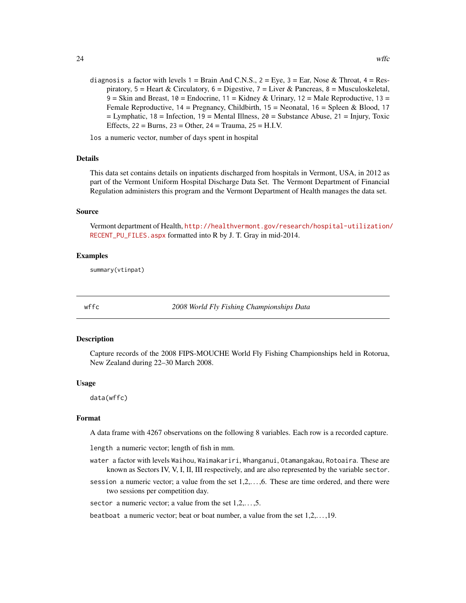<span id="page-23-0"></span>diagnosis a factor with levels  $1 = \text{Brain And C.N.S., } 2 = \text{Eye, } 3 = \text{Ear, Nose & Throat, } 4 = \text{Res-}$ piratory,  $5 =$  Heart & Circulatory,  $6 =$  Digestive,  $7 =$  Liver & Pancreas,  $8 =$  Musculoskeletal, 9 = Skin and Breast, 10 = Endocrine, 11 = Kidney & Urinary, 12 = Male Reproductive, 13 = Female Reproductive,  $14$  = Pregnancy, Childbirth,  $15$  = Neonatal,  $16$  = Spleen & Blood, 17  $=$  Lymphatic, 18 = Infection, 19 = Mental Illness, 20 = Substance Abuse, 21 = Injury, Toxic Effects, 22 = Burns, 23 = Other, 24 = Trauma, 25 = H.I.V.

los a numeric vector, number of days spent in hospital

#### Details

This data set contains details on inpatients discharged from hospitals in Vermont, USA, in 2012 as part of the Vermont Uniform Hospital Discharge Data Set. The Vermont Department of Financial Regulation administers this program and the Vermont Department of Health manages the data set.

### Source

Vermont department of Health, [http://healthvermont.gov/research/hospital-utilization/](http://healthvermont.gov/research/hospital-utilization/RECENT_PU_FILES.aspx) [RECENT\\_PU\\_FILES.aspx](http://healthvermont.gov/research/hospital-utilization/RECENT_PU_FILES.aspx) formatted into R by J. T. Gray in mid-2014.

#### Examples

summary(vtinpat)

<span id="page-23-1"></span>

wffc *2008 World Fly Fishing Championships Data*

#### **Description**

Capture records of the 2008 FIPS-MOUCHE World Fly Fishing Championships held in Rotorua, New Zealand during 22–30 March 2008.

#### Usage

data(wffc)

# Format

A data frame with 4267 observations on the following 8 variables. Each row is a recorded capture.

length a numeric vector; length of fish in mm.

- water a factor with levels Waihou, Waimakariri, Whanganui, Otamangakau, Rotoaira. These are known as Sectors IV, V, I, II, III respectively, and are also represented by the variable sector.
- session a numeric vector; a value from the set 1,2,..., 6. These are time ordered, and there were two sessions per competition day.

sector a numeric vector; a value from the set  $1, 2, \ldots, 5$ .

beatboat a numeric vector; beat or boat number, a value from the set 1,2,. . . ,19.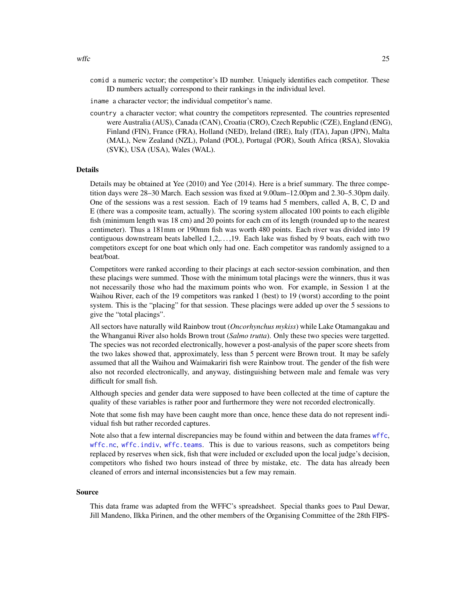- <span id="page-24-0"></span>comid a numeric vector; the competitor's ID number. Uniquely identifies each competitor. These ID numbers actually correspond to their rankings in the individual level.
- iname a character vector; the individual competitor's name.
- country a character vector; what country the competitors represented. The countries represented were Australia (AUS), Canada (CAN), Croatia (CRO), Czech Republic (CZE), England (ENG), Finland (FIN), France (FRA), Holland (NED), Ireland (IRE), Italy (ITA), Japan (JPN), Malta (MAL), New Zealand (NZL), Poland (POL), Portugal (POR), South Africa (RSA), Slovakia (SVK), USA (USA), Wales (WAL).

#### Details

Details may be obtained at Yee (2010) and Yee (2014). Here is a brief summary. The three competition days were 28–30 March. Each session was fixed at 9.00am–12.00pm and 2.30–5.30pm daily. One of the sessions was a rest session. Each of 19 teams had 5 members, called A, B, C, D and E (there was a composite team, actually). The scoring system allocated 100 points to each eligible fish (minimum length was 18 cm) and 20 points for each cm of its length (rounded up to the nearest centimeter). Thus a 181mm or 190mm fish was worth 480 points. Each river was divided into 19 contiguous downstream beats labelled 1,2,. . . ,19. Each lake was fished by 9 boats, each with two competitors except for one boat which only had one. Each competitor was randomly assigned to a beat/boat.

Competitors were ranked according to their placings at each sector-session combination, and then these placings were summed. Those with the minimum total placings were the winners, thus it was not necessarily those who had the maximum points who won. For example, in Session 1 at the Waihou River, each of the 19 competitors was ranked 1 (best) to 19 (worst) according to the point system. This is the "placing" for that session. These placings were added up over the 5 sessions to give the "total placings".

All sectors have naturally wild Rainbow trout (*Oncorhynchus mykiss*) while Lake Otamangakau and the Whanganui River also holds Brown trout (*Salmo trutta*). Only these two species were targetted. The species was not recorded electronically, however a post-analysis of the paper score sheets from the two lakes showed that, approximately, less than 5 percent were Brown trout. It may be safely assumed that all the Waihou and Waimakariri fish were Rainbow trout. The gender of the fish were also not recorded electronically, and anyway, distinguishing between male and female was very difficult for small fish.

Although species and gender data were supposed to have been collected at the time of capture the quality of these variables is rather poor and furthermore they were not recorded electronically.

Note that some fish may have been caught more than once, hence these data do not represent individual fish but rather recorded captures.

Note also that a few internal discrepancies may be found within and between the data frames [wffc](#page-23-1), [wffc.nc](#page-27-1), [wffc.indiv](#page-26-1), [wffc.teams](#page-30-1). This is due to various reasons, such as competitors being replaced by reserves when sick, fish that were included or excluded upon the local judge's decision, competitors who fished two hours instead of three by mistake, etc. The data has already been cleaned of errors and internal inconsistencies but a few may remain.

#### Source

This data frame was adapted from the WFFC's spreadsheet. Special thanks goes to Paul Dewar, Jill Mandeno, Ilkka Pirinen, and the other members of the Organising Committee of the 28th FIPS-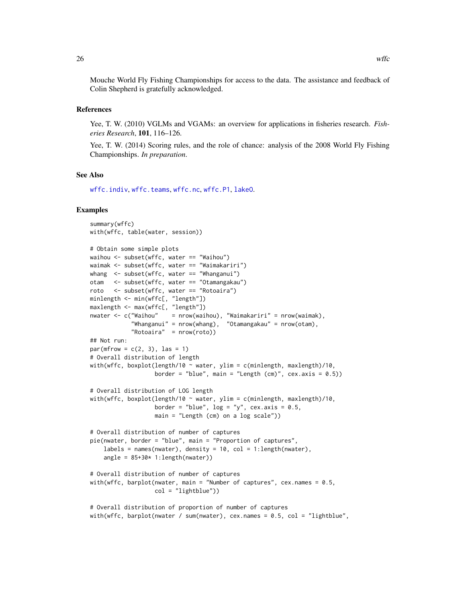<span id="page-25-0"></span>Mouche World Fly Fishing Championships for access to the data. The assistance and feedback of Colin Shepherd is gratefully acknowledged.

#### References

Yee, T. W. (2010) VGLMs and VGAMs: an overview for applications in fisheries research. *Fisheries Research*, 101, 116–126.

Yee, T. W. (2014) Scoring rules, and the role of chance: analysis of the 2008 World Fly Fishing Championships. *In preparation*.

### See Also

[wffc.indiv](#page-26-1), [wffc.teams](#page-30-1), [wffc.nc](#page-27-1), [wffc.P1](#page-28-1), [lakeO](#page-0-0).

#### Examples

```
summary(wffc)
with(wffc, table(water, session))
# Obtain some simple plots
waihou <- subset(wffc, water == "Waihou")
waimak <- subset(wffc, water == "Waimakariri")
whang <- subset(wffc, water == "Whanganui")
otam <- subset(wffc, water == "Otamangakau")
roto <- subset(wffc, water == "Rotoaira")
minlength <- min(wffc[, "length"])
maxlength <- max(wffc[, "length"])
nwater <- c("Waihou" = nrow(waihou), "Waimakariri" = nrow(waimak),
            "Whanganui" = nrow(whang), "Otamangakau" = nrow(otam),
            "Rotoaira" = nrow(roto))
## Not run:
par(mfrow = c(2, 3), las = 1)# Overall distribution of length
with(wffc, boxplot(length/10 \sim water, ylim = c(minlength, maxlength)/10,
                   border = "blue", main = "Length (cm)", cex.axis = (0.5))
# Overall distribution of LOG length
with(wffc, boxplot(length/10 ~ water, ylim = c(minlength, maxlength)/10,
                   border = "blue", log = "y", cex.axis = 0.5,
                   main = "Length (cm) on a log scale"))
# Overall distribution of number of captures
pie(nwater, border = "blue", main = "Proportion of captures",
    labels = names(mater), density = 10, col = 1:length(mater),angle = 85+30* 1: length(nwater))
# Overall distribution of number of captures
with(wffc, barplot(nwater, main = "Number of captures", cex.names = 0.5,
                   col = "lightblue")# Overall distribution of proportion of number of captures
with(wffc, barplot(nwater / sum(nwater), cex.names = 0.5, col = "lightblue",
```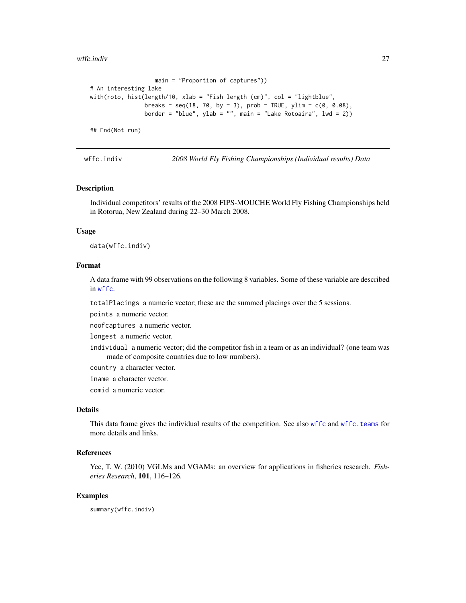<span id="page-26-0"></span>wffc.indiv 27

```
main = "Proportion of captures"))
# An interesting lake
with(roto, hist(length/10, xlab = "Fish length (cm)", col = "lightblue",
                breaks = seq(18, 70, by = 3), prob = TRUE, ylim = c(0, 0.08),
                border = "blue", ylab = "", main = "Lake Rotoaira", lwd = 2))
## End(Not run)
```
<span id="page-26-1"></span>

wffc.indiv *2008 World Fly Fishing Championships (Individual results) Data*

#### Description

Individual competitors' results of the 2008 FIPS-MOUCHE World Fly Fishing Championships held in Rotorua, New Zealand during 22–30 March 2008.

# Usage

data(wffc.indiv)

#### Format

A data frame with 99 observations on the following 8 variables. Some of these variable are described in [wffc](#page-23-1).

totalPlacings a numeric vector; these are the summed placings over the 5 sessions.

points a numeric vector.

noofcaptures a numeric vector.

longest a numeric vector.

individual a numeric vector; did the competitor fish in a team or as an individual? (one team was made of composite countries due to low numbers).

country a character vector.

iname a character vector.

comid a numeric vector.

# Details

This data frame gives the individual results of the competition. See also [wffc](#page-23-1) and [wffc.teams](#page-30-1) for more details and links.

# References

Yee, T. W. (2010) VGLMs and VGAMs: an overview for applications in fisheries research. *Fisheries Research*, 101, 116–126.

#### Examples

summary(wffc.indiv)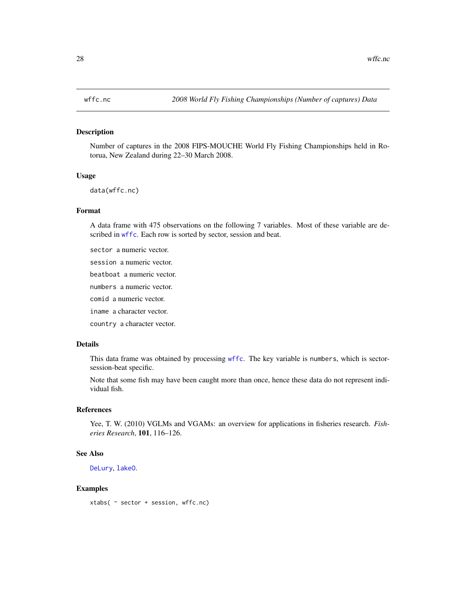#### <span id="page-27-1"></span><span id="page-27-0"></span>Description

Number of captures in the 2008 FIPS-MOUCHE World Fly Fishing Championships held in Rotorua, New Zealand during 22–30 March 2008.

# Usage

data(wffc.nc)

#### Format

A data frame with 475 observations on the following 7 variables. Most of these variable are described in [wffc](#page-23-1). Each row is sorted by sector, session and beat.

sector a numeric vector.

session a numeric vector.

beatboat a numeric vector.

numbers a numeric vector.

comid a numeric vector.

iname a character vector.

country a character vector.

# Details

This data frame was obtained by processing [wffc](#page-23-1). The key variable is numbers, which is sectorsession-beat specific.

Note that some fish may have been caught more than once, hence these data do not represent individual fish.

#### References

Yee, T. W. (2010) VGLMs and VGAMs: an overview for applications in fisheries research. *Fisheries Research*, 101, 116–126.

#### See Also

[DeLury](#page-6-1), [lakeO](#page-0-0).

#### Examples

xtabs( ~ sector + session, wffc.nc)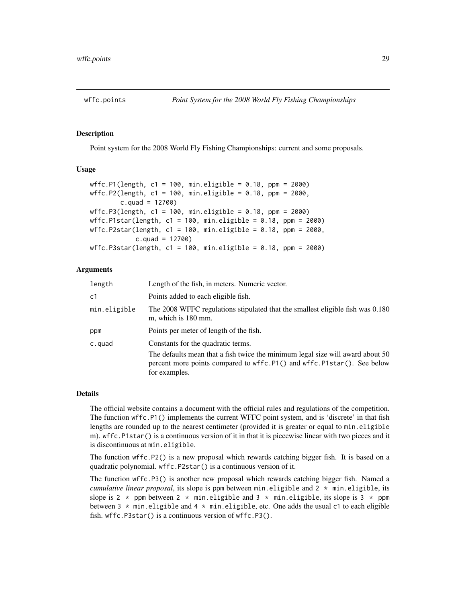<span id="page-28-0"></span>

# <span id="page-28-1"></span>Description

Point system for the 2008 World Fly Fishing Championships: current and some proposals.

#### Usage

```
wffc.P1(length, c1 = 100, min.eligible = 0.18, ppm = 2000)
wffc.P2(length, c1 = 100, min.eligible = 0.18, ppm = 2000,
        c.quad = 12700)
wffc.P3(length, c1 = 100, min.eligible = 0.18, ppm = 2000)
wffc.P1star(length, c1 = 100, min.eligible = 0.18, ppm = 2000)
wffc.P2star(length, c1 = 100, min.eligible = 0.18, ppm = 2000,
            c.quad = 12700wffc.P3star(length, c1 = 100, min.eligible = 0.18, ppm = 2000)
```
# Arguments

| length         | Length of the fish, in meters. Numeric vector.                                                                                                                                                                  |  |
|----------------|-----------------------------------------------------------------------------------------------------------------------------------------------------------------------------------------------------------------|--|
| c <sub>1</sub> | Points added to each eligible fish.                                                                                                                                                                             |  |
| min.eligible   | The 2008 WFFC regulations stipulated that the smallest eligible fish was 0.180<br>m, which is 180 mm.                                                                                                           |  |
| ppm            | Points per meter of length of the fish.                                                                                                                                                                         |  |
| c.quad         | Constants for the quadratic terms.<br>The defaults mean that a fish twice the minimum legal size will award about 50<br>percent more points compared to wffc.P1() and wffc.P1star(). See below<br>for examples. |  |

#### Details

The official website contains a document with the official rules and regulations of the competition. The function wffc.P1() implements the current WFFC point system, and is 'discrete' in that fish lengths are rounded up to the nearest centimeter (provided it is greater or equal to min.eligible m). wffc.P1star() is a continuous version of it in that it is piecewise linear with two pieces and it is discontinuous at min.eligible.

The function wffc.P2() is a new proposal which rewards catching bigger fish. It is based on a quadratic polynomial. wffc.P2star() is a continuous version of it.

The function wffc.P3() is another new proposal which rewards catching bigger fish. Named a *cumulative linear proposal*, its slope is ppm between min.eligible and  $2 \times m$  in.eligible, its slope is 2  $\star$  ppm between 2  $\star$  min.eligible and 3  $\star$  min.eligible, its slope is 3  $\star$  ppm between  $3 \times \text{min.}$  eligible and  $4 \times \text{min.}$  eligible, etc. One adds the usual c1 to each eligible fish. wffc.P3star() is a continuous version of wffc.P3().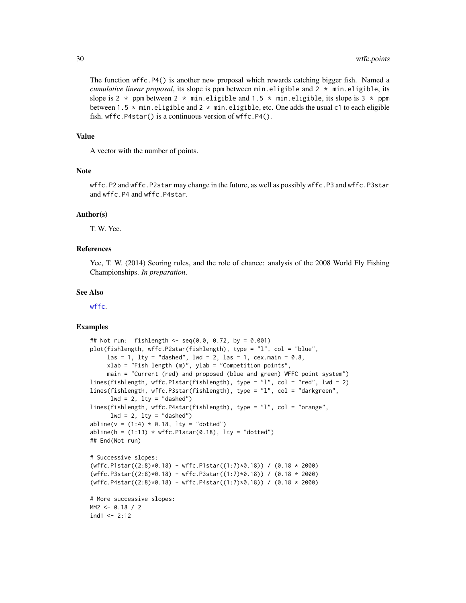<span id="page-29-0"></span>The function wffc.P4() is another new proposal which rewards catching bigger fish. Named a *cumulative linear proposal*, its slope is ppm between min.eligible and  $2 \times m$  in.eligible, its slope is 2  $\star$  ppm between 2  $\star$  min.eligible and 1.5  $\star$  min.eligible, its slope is 3  $\star$  ppm between 1.5  $*$  min.eligible and 2  $*$  min.eligible, etc. One adds the usual c1 to each eligible fish. wffc.P4star() is a continuous version of wffc.P4().

#### Value

A vector with the number of points.

#### **Note**

wffc.P2 and wffc.P2star may change in the future, as well as possibly wffc.P3 and wffc.P3star and wffc.P4 and wffc.P4star.

#### Author(s)

T. W. Yee.

# References

Yee, T. W. (2014) Scoring rules, and the role of chance: analysis of the 2008 World Fly Fishing Championships. *In preparation*.

#### See Also

[wffc](#page-23-1).

#### Examples

```
## Not run: fishlength <- seq(0.0, 0.72, by = 0.001)
plot(fishlength, wffc.P2star(fishlength), type = "l", col = "blue",
     \text{las} = 1, \text{lty} = \text{"dashed",} \text{Ind} = 2, \text{las} = 1, \text{cex}.\text{main} = 0.8,
     xlab = "Fish length (m)", ylab = "Competition points",
     main = "Current (red) and proposed (blue and green) WFFC point system")
lines(fishlength, wffc.P1star(fishlength), type = "l", col = "red", lwd = 2)
lines(fishlength, wffc.P3star(fishlength), type = "l", col = "darkgreen",
      lwd = 2, lty = "dashed")lines(fishlength, wffc.P4star(fishlength), type = "l", col = "orange",
      1wd = 2, 1ty = "dashed")abline(v = (1:4) * 0.18, 1ty = "dotted")abline(h = (1:13) * wffc.P1star(0.18), lty = "dotted")## End(Not run)
# Successive slopes:
(wffc.P1star((2:8)*0.18) - wffc.P1star((1:7)*0.18)) / (0.18 * 2000)
(wffc.P3star((2:8)*0.18) - wffc.P3star((1:7)*0.18)) / (0.18 * 2000)
(wffc.P4star((2:8)*0.18) - wffc.P4star((1:7)*0.18)) / (0.18 * 2000)
# More successive slopes:
MM2 < -0.18 / 2ind1 < -2:12
```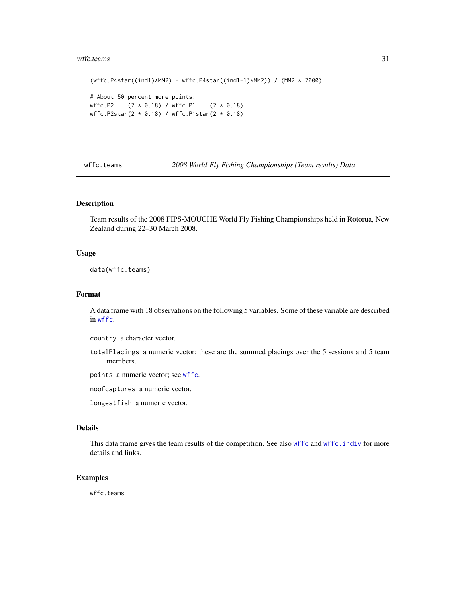#### <span id="page-30-0"></span>wffc.teams 31

```
(wffc.P4star((ind1)*MM2) - wffc.P4star((ind1-1)*MM2)) / (MM2 * 2000)
# About 50 percent more points:
wffc.P2 (2 * 0.18) / wffc.P1 (2 * 0.18)wffc.P2star(2 * 0.18) / wffc.P1star(2 * 0.18)
```
<span id="page-30-1"></span>wffc.teams *2008 World Fly Fishing Championships (Team results) Data*

#### Description

Team results of the 2008 FIPS-MOUCHE World Fly Fishing Championships held in Rotorua, New Zealand during 22–30 March 2008.

#### Usage

data(wffc.teams)

# Format

A data frame with 18 observations on the following 5 variables. Some of these variable are described in [wffc](#page-23-1).

country a character vector.

totalPlacings a numeric vector; these are the summed placings over the 5 sessions and 5 team members.

points a numeric vector; see [wffc](#page-23-1).

noofcaptures a numeric vector.

longestfish a numeric vector.

#### Details

This data frame gives the team results of the competition. See also [wffc](#page-23-1) and [wffc.indiv](#page-26-1) for more details and links.

# Examples

wffc.teams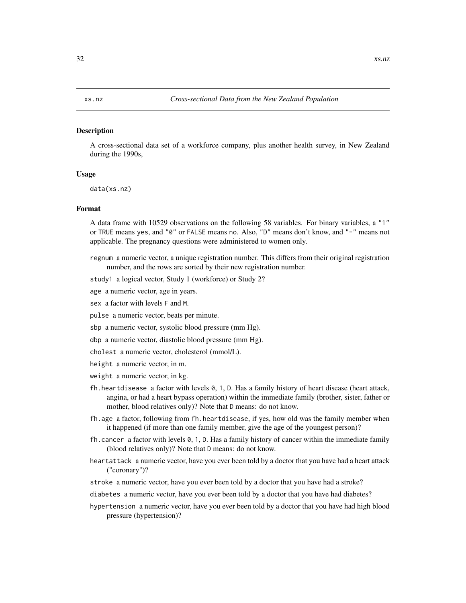#### <span id="page-31-0"></span>**Description**

A cross-sectional data set of a workforce company, plus another health survey, in New Zealand during the 1990s,

### Usage

data(xs.nz)

#### Format

A data frame with 10529 observations on the following 58 variables. For binary variables, a "1" or TRUE means yes, and "0" or FALSE means no. Also, "D" means don't know, and "-" means not applicable. The pregnancy questions were administered to women only.

- regnum a numeric vector, a unique registration number. This differs from their original registration number, and the rows are sorted by their new registration number.
- study1 a logical vector, Study 1 (workforce) or Study 2?
- age a numeric vector, age in years.
- sex a factor with levels F and M.
- pulse a numeric vector, beats per minute.
- sbp a numeric vector, systolic blood pressure (mm Hg).
- dbp a numeric vector, diastolic blood pressure (mm Hg).
- cholest a numeric vector, cholesterol (mmol/L).
- height a numeric vector, in m.
- weight a numeric vector, in kg.
- fh.heartdisease a factor with levels 0, 1, D. Has a family history of heart disease (heart attack, angina, or had a heart bypass operation) within the immediate family (brother, sister, father or mother, blood relatives only)? Note that D means: do not know.
- fh.age a factor, following from fh.heartdisease, if yes, how old was the family member when it happened (if more than one family member, give the age of the youngest person)?
- fh.cancer a factor with levels 0, 1, D. Has a family history of cancer within the immediate family (blood relatives only)? Note that D means: do not know.
- heartattack a numeric vector, have you ever been told by a doctor that you have had a heart attack ("coronary")?
- stroke a numeric vector, have you ever been told by a doctor that you have had a stroke?
- diabetes a numeric vector, have you ever been told by a doctor that you have had diabetes?
- hypertension a numeric vector, have you ever been told by a doctor that you have had high blood pressure (hypertension)?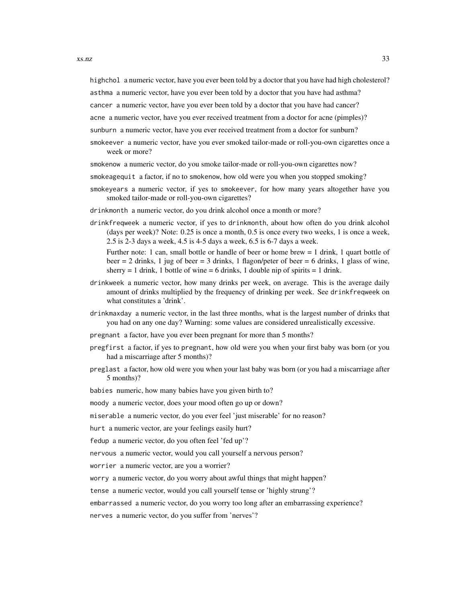highchol a numeric vector, have you ever been told by a doctor that you have had high cholesterol?

asthma a numeric vector, have you ever been told by a doctor that you have had asthma?

cancer a numeric vector, have you ever been told by a doctor that you have had cancer?

acne a numeric vector, have you ever received treatment from a doctor for acne (pimples)?

sunburn a numeric vector, have you ever received treatment from a doctor for sunburn?

- smokeever a numeric vector, have you ever smoked tailor-made or roll-you-own cigarettes once a week or more?
- smokenow a numeric vector, do you smoke tailor-made or roll-you-own cigarettes now?
- smokeagequit a factor, if no to smokenow, how old were you when you stopped smoking?
- smokeyears a numeric vector, if yes to smokeever, for how many years altogether have you smoked tailor-made or roll-you-own cigarettes?
- drinkmonth a numeric vector, do you drink alcohol once a month or more?
- drinkfreqweek a numeric vector, if yes to drinkmonth, about how often do you drink alcohol (days per week)? Note: 0.25 is once a month, 0.5 is once every two weeks, 1 is once a week, 2.5 is 2-3 days a week, 4.5 is 4-5 days a week, 6.5 is 6-7 days a week.

Further note: 1 can, small bottle or handle of beer or home brew = 1 drink, 1 quart bottle of beer  $= 2$  drinks, 1 jug of beer  $= 3$  drinks, 1 flagon/peter of beer  $= 6$  drinks, 1 glass of wine, sherry  $= 1$  drink, 1 bottle of wine  $= 6$  drinks, 1 double nip of spirits  $= 1$  drink.

- drinkweek a numeric vector, how many drinks per week, on average. This is the average daily amount of drinks multiplied by the frequency of drinking per week. See drinkfreqweek on what constitutes a 'drink'.
- drinkmaxday a numeric vector, in the last three months, what is the largest number of drinks that you had on any one day? Warning: some values are considered unrealistically excessive.
- pregnant a factor, have you ever been pregnant for more than 5 months?
- pregfirst a factor, if yes to pregnant, how old were you when your first baby was born (or you had a miscarriage after 5 months)?
- preglast a factor, how old were you when your last baby was born (or you had a miscarriage after 5 months)?

babies numeric, how many babies have you given birth to?

moody a numeric vector, does your mood often go up or down?

miserable a numeric vector, do you ever feel 'just miserable' for no reason?

hurt a numeric vector, are your feelings easily hurt?

fedup a numeric vector, do you often feel 'fed up'?

nervous a numeric vector, would you call yourself a nervous person?

worrier a numeric vector, are you a worrier?

worry a numeric vector, do you worry about awful things that might happen?

tense a numeric vector, would you call yourself tense or 'highly strung'?

embarrassed a numeric vector, do you worry too long after an embarrassing experience?

nerves a numeric vector, do you suffer from 'nerves'?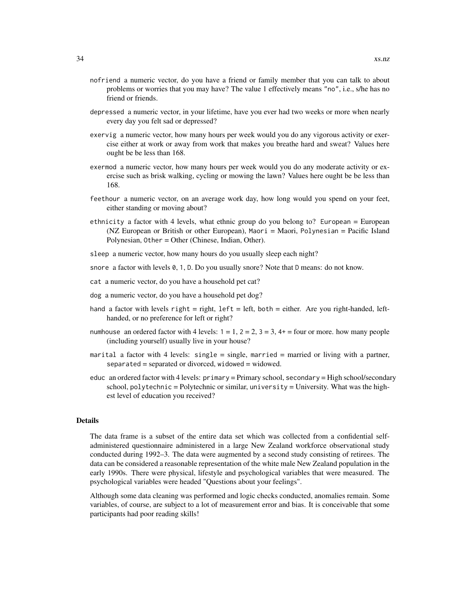- nofriend a numeric vector, do you have a friend or family member that you can talk to about problems or worries that you may have? The value 1 effectively means "no", i.e., s/he has no friend or friends.
- depressed a numeric vector, in your lifetime, have you ever had two weeks or more when nearly every day you felt sad or depressed?
- exervig a numeric vector, how many hours per week would you do any vigorous activity or exercise either at work or away from work that makes you breathe hard and sweat? Values here ought be be less than 168.
- exermod a numeric vector, how many hours per week would you do any moderate activity or exercise such as brisk walking, cycling or mowing the lawn? Values here ought be be less than 168.
- feethour a numeric vector, on an average work day, how long would you spend on your feet, either standing or moving about?
- ethnicity a factor with 4 levels, what ethnic group do you belong to? European = European (NZ European or British or other European), Maori = Maori, Polynesian = Pacific Island Polynesian, Other = Other (Chinese, Indian, Other).
- sleep a numeric vector, how many hours do you usually sleep each night?
- snore a factor with levels 0, 1, D. Do you usually snore? Note that D means: do not know.
- cat a numeric vector, do you have a household pet cat?
- dog a numeric vector, do you have a household pet dog?
- hand a factor with levels right = right,  $left = left$ , both = either. Are you right-handed, lefthanded, or no preference for left or right?
- numhouse an ordered factor with 4 levels:  $1 = 1$ ,  $2 = 2$ ,  $3 = 3$ ,  $4 + 1 = 6$  four or more. how many people (including yourself) usually live in your house?
- marital a factor with 4 levels: single = single, married = married or living with a partner, separated = separated or divorced, widowed = widowed.
- educ an ordered factor with 4 levels: primary = Primary school, secondary = High school/secondary school,  $polytechnic = Polytechnic$  or similar, university = University. What was the highest level of education you received?

#### Details

The data frame is a subset of the entire data set which was collected from a confidential selfadministered questionnaire administered in a large New Zealand workforce observational study conducted during 1992–3. The data were augmented by a second study consisting of retirees. The data can be considered a reasonable representation of the white male New Zealand population in the early 1990s. There were physical, lifestyle and psychological variables that were measured. The psychological variables were headed "Questions about your feelings".

Although some data cleaning was performed and logic checks conducted, anomalies remain. Some variables, of course, are subject to a lot of measurement error and bias. It is conceivable that some participants had poor reading skills!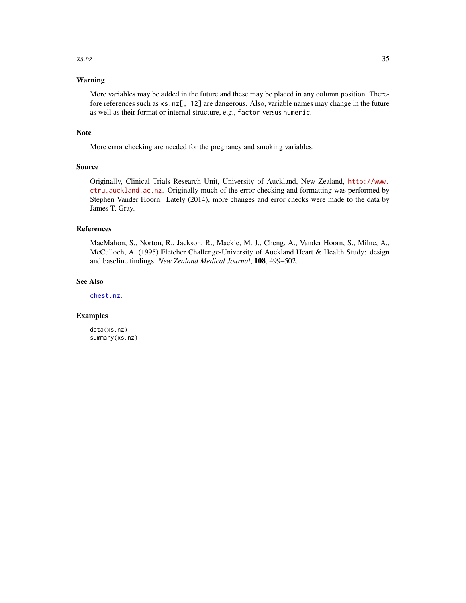#### <span id="page-34-0"></span> $x \sin z$  35

# Warning

More variables may be added in the future and these may be placed in any column position. Therefore references such as xs.nz[, 12] are dangerous. Also, variable names may change in the future as well as their format or internal structure, e.g., factor versus numeric.

#### Note

More error checking are needed for the pregnancy and smoking variables.

# Source

Originally, Clinical Trials Research Unit, University of Auckland, New Zealand, [http://www.](http://www.ctru.auckland.ac.nz) [ctru.auckland.ac.nz](http://www.ctru.auckland.ac.nz). Originally much of the error checking and formatting was performed by Stephen Vander Hoorn. Lately (2014), more changes and error checks were made to the data by James T. Gray.

#### References

MacMahon, S., Norton, R., Jackson, R., Mackie, M. J., Cheng, A., Vander Hoorn, S., Milne, A., McCulloch, A. (1995) Fletcher Challenge-University of Auckland Heart & Health Study: design and baseline findings. *New Zealand Medical Journal*, 108, 499–502.

#### See Also

[chest.nz](#page-0-0).

#### Examples

data(xs.nz) summary(xs.nz)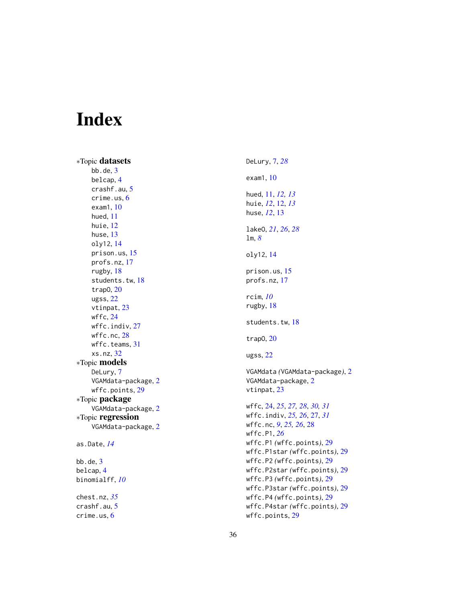# <span id="page-35-0"></span>Index

∗Topic datasets  $bb.de, 3$  $bb.de, 3$ belcap , [4](#page-3-0) crashf.au , [5](#page-4-0) crime.us , [6](#page-5-0) exam1 , [10](#page-9-0) hued , [11](#page-10-0) huie , [12](#page-11-0) huse, [13](#page-12-0) oly12 , [14](#page-13-0) prison.us , [15](#page-14-0) profs.nz , [17](#page-16-0) rugby , [18](#page-17-0) students.tw, [18](#page-17-0) trapO , [20](#page-19-0) ugss , [22](#page-21-0) vtinpat, [23](#page-22-0) wffc , [24](#page-23-0) wffc.indiv, [27](#page-26-0) wffc.nc, [28](#page-27-0) wffc.teams , [31](#page-30-0) xs.nz , [32](#page-31-0) ∗Topic models DeLury, [7](#page-6-0) VGAMdata-package, [2](#page-1-0) wffc.points , [29](#page-28-0) ∗Topic package VGAMdata-package , [2](#page-1-0) ∗Topic regression VGAMdata-package , [2](#page-1-0) as.Date , *[14](#page-13-0)*  $bb.$ de,  $3$ belcap , [4](#page-3-0) binomialff , *[10](#page-9-0)*

chest.nz , *[35](#page-34-0)* crashf.au , [5](#page-4-0) crime.us , [6](#page-5-0)

DeLury , [7](#page-6-0) , *[28](#page-27-0)* exam1 , [10](#page-9-0) hued , [11](#page-10-0) , *[12](#page-11-0) , [13](#page-12-0)* huie , *[12](#page-11-0)* , [12](#page-11-0) , *[13](#page-12-0)* huse , *[12](#page-11-0)* , [13](#page-12-0) lakeO , *[21](#page-20-0)* , *[26](#page-25-0)* , *[28](#page-27-0)* lm , *[8](#page-7-0)* oly12 , [14](#page-13-0) prison.us , [15](#page-14-0) profs.nz , [17](#page-16-0) rcim , *[10](#page-9-0)* rugby , [18](#page-17-0) students.tw , [18](#page-17-0) trapO , [20](#page-19-0) ugss , [22](#page-21-0) VGAMdata *(*VGAMdata-package *)* , [2](#page-1-0) VGAMdata-package , [2](#page-1-0) vtinpat , [23](#page-22-0) wffc , [24](#page-23-0) , *[25](#page-24-0)* , *[27,](#page-26-0) [28](#page-27-0)* , *[30](#page-29-0) , [31](#page-30-0)* wffc.indiv , *[25](#page-24-0) , [26](#page-25-0)* , [27](#page-26-0) , *[31](#page-30-0)* wffc.nc , *[9](#page-8-0)* , *[25](#page-24-0) , [26](#page-25-0)* , [28](#page-27-0) wffc.P1 , *[26](#page-25-0)* wffc.P1 *(*wffc.points *)* , [29](#page-28-0) wffc.P1star *(*wffc.points *)* , [29](#page-28-0) wffc.P2 *(*wffc.points *)* , [29](#page-28-0) wffc.P2star *(*wffc.points *)* , [29](#page-28-0) wffc.P3 *(*wffc.points *)* , [29](#page-28-0) wffc.P3star *(*wffc.points *)* , [29](#page-28-0) wffc.P4 *(*wffc.points *)* , [29](#page-28-0) wffc.P4star *(*wffc.points *)* , [29](#page-28-0) wffc.points , [29](#page-28-0)